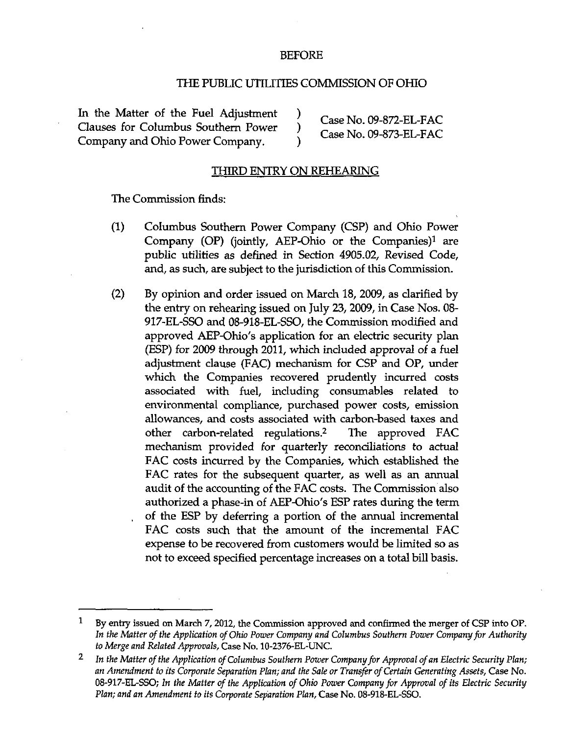## BEFORE

## THE PUBLIC UTILITIES COMMISSION OF OHIO

In the Matter of the Fuel Adjustment ) Case No. 09-872-EL-FAC Clauses for Columbus Southern Power ) Company and Ohio Power Company.

Company and Ohio Power Company. )

Case No. 09-873-EL-FAC

## THIRD ENTRY ON REHEARING

The Commission finds:

- (1) Columbus Southern Power Company (CSP) and Ohio Power Company (OP) (jointly, AEP-Ohio or the Companies) $<sup>1</sup>$  are</sup> public utilities as defined in Section 4905.02, Revised Code, and, as such, are subject to the jurisdiction of this Commission.
- (2) By opinion and order issued on March 18, 2009, as clarified by the entry on rehearing issued on July 23, 2009, in Case Nos. 08- 917-EL-SSO and 08-918-EL-SSO, the Commission modified and approved AEP-Ohio's application for an electric security plan (ESP) for 2009 through 2011, which included approval of a fuel adjustment clause (FAC) mechanism for CSP and OP, under which the Companies recovered prudently incurred costs associated with fuel, including consumables related to environmental compliance, purchased power costs, emission allowances, and costs associated with carbon-based taxes and other carbon-related regulations.<sup>2</sup> The approved FAC mechanism provided for quarterly reconciliations to actual FAC costs incurred by the Companies, which established the FAC rates for the subsequent quarter, as well as an annual audit of the accounting of the FAC costs. The Commission also authorized a phase-in of AEP-Ohio's ESP rates during the term of the ESP by deferring a portion of the annual incremental FAC costs such that the amount of the incremental FAC expense to be recovered from customers would be limited so as not to exceed specified percentage increases on a total bill basis.

 $\mathbf{1}$ By entry issued on March 7, 2012, the Commission approved and confirmed the merger of CSP into OP. In the Matter of the Application of Ohio Power Company and Columbus Southern Power Company for Authority to Merge and Related Approvals, Case No. 10-2376-EL-UNC.

 $\overline{2}$ In the Matter of the Application of Columbus Southern Power Company for Approval of an Electric Security Plan; an Amendment to its Corporate Separation Plan; and the Sale or Transfer of Certain Generating Assets, Case No. 08-917-EL-SSO; In the Matter of the Application of Ohio Power Company for Approval of its Electric Security Plan; and an Amendment to its Corporate Separation Plan, Case No. 08-918-EL-SSO.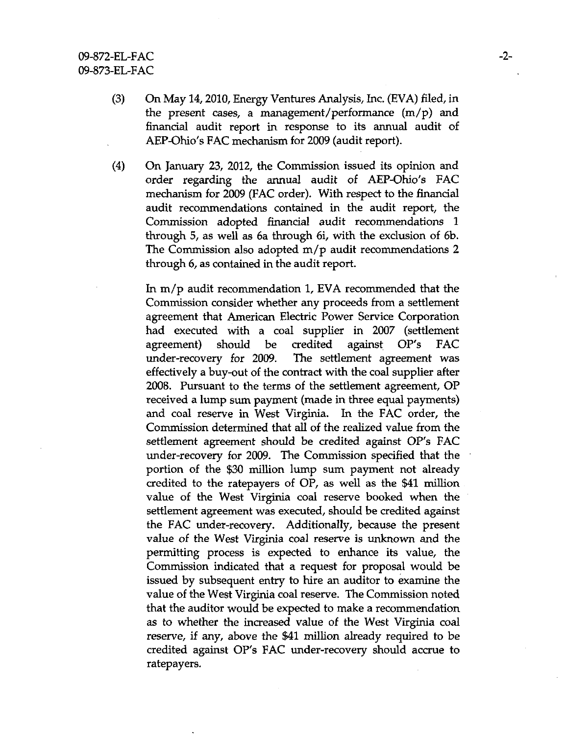- (3) On May 14,2010, Energy Ventures Analysis, Inc. (EVA) filed, in the present cases, a management/performance (m/p) and financial audit report in response to its annual audit of AEP-Ohio's FAC mechanism for 2009 (audit report).
- (4) On January 23, 2012, the Commission issued its opinion and order regarding the armual audit of AEP-Ohio's FAC mechanism for 2009 (FAC order). With respect to the financial audit recommendations contained in the audit report, the Commission adopted financial audit recommendations 1 through 5, as well as 6a through 6i, with the exclusion of 6b. The Commission also adopted m/p audit recommendations 2 through 6, as contained in the audit report.

In  $m/p$  audit recommendation 1, EVA recommended that the Commission consider whether any proceeds from a settlement agreement that American Electric Power Service Corporation had executed with a coal supplier in 2007 (settlement agreement) should be credited against OP's FAC under-recovery for 2009. The settlement agreement was effectively a buy-out of the confract with the coal supplier after 2008. Pursuant to the terms of the settlement agreement, OP received a lump sum payment (made in three equal payments) and coal reserve in West Virginia. In the FAC order, the Commission determined that all of the realized value from the settlement agreement should be credited against OP's FAC under-recovery for 2009. The Commission specified that the portion of the \$30 million lump sum payment not already credited to the ratepayers of OP, as well as the \$41 million value of the West Virginia coal reserve booked when the settlement agreement was executed, should be credited against the FAC under-recovery. Additionally, because the present value of the West Virginia coal reserve is unknown and the permitting process is expected to enhance its value, the Commission indicated that a request for proposal would be issued by subsequent entry to hire an auditor to examine the value of the West Virginia coal reserve. The Commission noted that the auditor would be expected to make a recommendation as to whether the increased value of the West Virginia coal reserve, if any, above the \$41 million already required to be credited against OP's FAC under-recovery should accrue to ratepayers.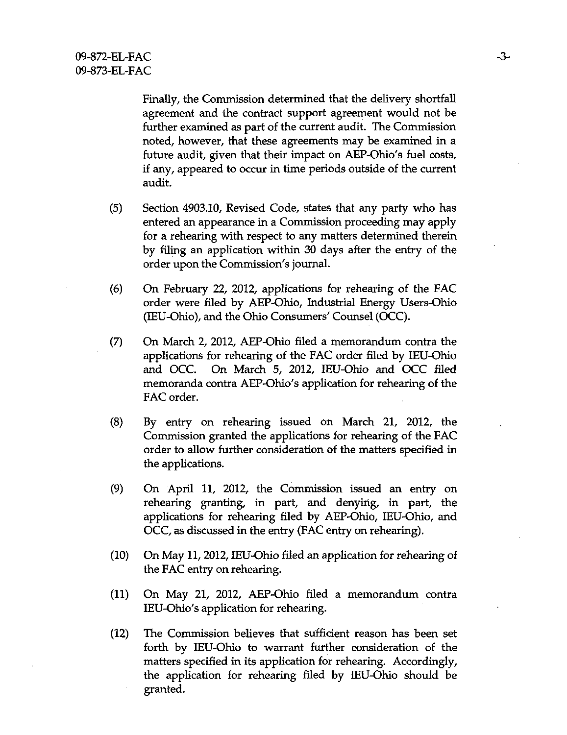Finally, the Commission determined that the delivery shortfall agreement and the confract support agreement would not be further examined as part of the current audit. The Commission noted, however, that these agreements may be examined in a future audit, given that their impact on AEP-Ohio's fuel costs, if any, appeared to occur in time periods outside of the current audit.

- (5) Section 4903.10, Revised Code, states that any party who has entered an appearance in a Commission proceeding may apply for a rehearing with respect to any matters determined therein by filing an application within 30 days after the entry of the order upon the Commission's journal.
- (6) On February 22, 2012, applications for rehearing of the FAC order were filed by AEP-Ohio, Industrial Energy Users-Ohio (lEU-Ohio), and the Ohio Consumers' Counsel (OCC).
- (7) On March 2, 2012, AEP-Ohio filed a memorandum contra the applications for rehearing of the FAC order filed by lEU-Ohio and OCC. On March 5, 2012, lEU-Ohio and OCC filed memoranda contra AEP-Ohio's application for rehearing of the FAC order.
- (8) By entry on rehearing issued on March 21, 2012, the Commission granted the applications for rehearing of the FAC order to allow further consideration of the matters specified in the applications.
- (9) On April 11, 2012, the Commission issued an entry on rehearing granting, in part, and denyirig, in part, the applications for rehearing filed by AEP-Ohio, lEU-Ohio, and OCC, as discussed in the entry (FAC entry on rehearing).
- (10) On May 11,2012, lEU-Ohio filed an application for rehearing of the FAC entry on rehearing.
- (11) On May 21, 2012, AEP-Ohio filed a memorandum confra lEU-Ohio's application for rehearing.
- (12) The Commission believes that sufficient reason has been set forth by lEU-Ohio to warrant further consideration of the matters specified in its application for rehearing. Accordingly, the application for rehearing filed by lEU-Ohio should be granted.